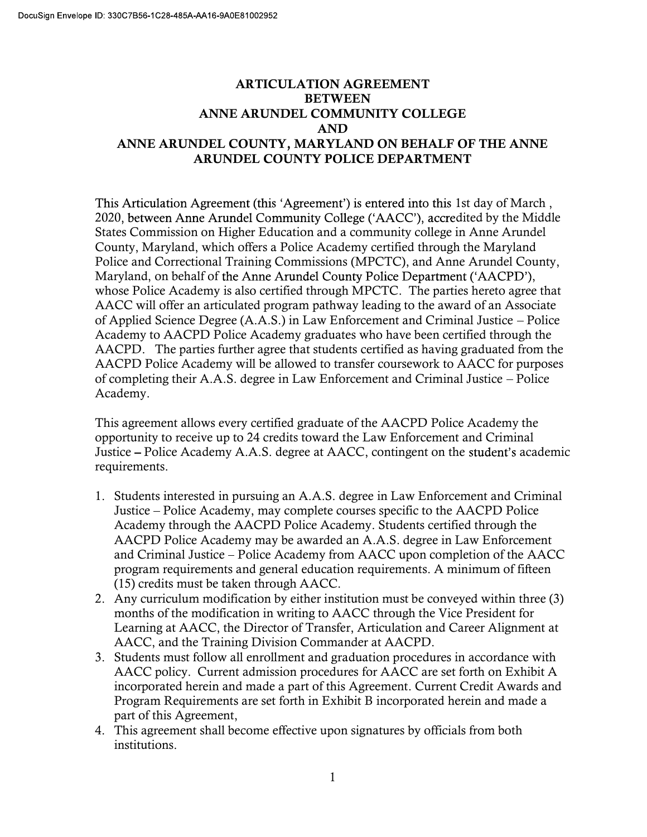## ARTICULATION AGREEMENT BETWEEN ANNE ARUNDEL COMMUNITY COLLEGE AND ANNE ARUNDEL COUNTY, MARYLAND ON BEHALF OF THE ANNE ARUNDEL COUNTY POLICE DEPARTMENT

This Articulation Agreement (this 'Agreement') is entered into this 1st day of March, 2020, between Anne Arundel Community College ('AACC'), accredited by the Middle States Commission on Higher Education and a community college in Anne Arundel County, Maryland, which offers a Police Academy certified through the Maryland Police and Correctional Training Commissions (MPCTC), and Anne Arundel County, Maryland, on behalf of the Anne Arundel County Police Department ('AACPD'), whose Police Academy is also certified through MPCTC. The parties hereto agree that AACC will offer an articulated program pathway leading to the award of an Associate of Applied Science Degree (A.A.S.) in Law Enforcement and Criminal Justice Police Academy to AACPD Police Academy graduates who have been certified through the AACPD. The parties further agree that students certified as having graduated from the AACPD Police Academy will be allowed to transfer coursework to AACC for purposes of completing their A.A.S. degree in Law Enforcement and Criminal Justice Police Academy.

This agreement allows every certified graduate of the AACPD Police Academy the opportunity to receive up to 24 credits toward the Law Enforcement and Criminal Justice – Police Academy A.A.S. degree at AACC, contingent on the student's academic requirements.

- 1. Students interested in pursuing an A.A.S. degree in Law Enforcement and Criminal Justice Police Academy, may complete courses specific to the AACPD Police Academy through the AACPD Police Academy. Students certified through the AACPD Police Academy may be awarded an A.A.S. degree in Law Enforcement and Criminal Justice Police Academy from AACC upon completion of the AACC program requirements and general education requirements. A minimum of fifteen (15) credits must be taken through AACC.
- 2. Any curriculum modification by either institution must be conveyed within three (3) months of the modification in writing to AACC through the Vice President for Learning at AACC, the Director of Transfer, Articulation and Career Alignment at AACC, and the Training Division Commander at AACPD.
- 3. Students must follow all enrollment and graduation procedures in accordance with AACC policy. Current admission procedures for AACC are set forth on Exhibit A incorporated herein and made a part of this Agreement. Current Credit Awards and Program Requirements are set forth in Exhibit B incorporated herein and made a part of this Agreement,
- 4. This agreement shall become effective upon signatures by officials from both institutions.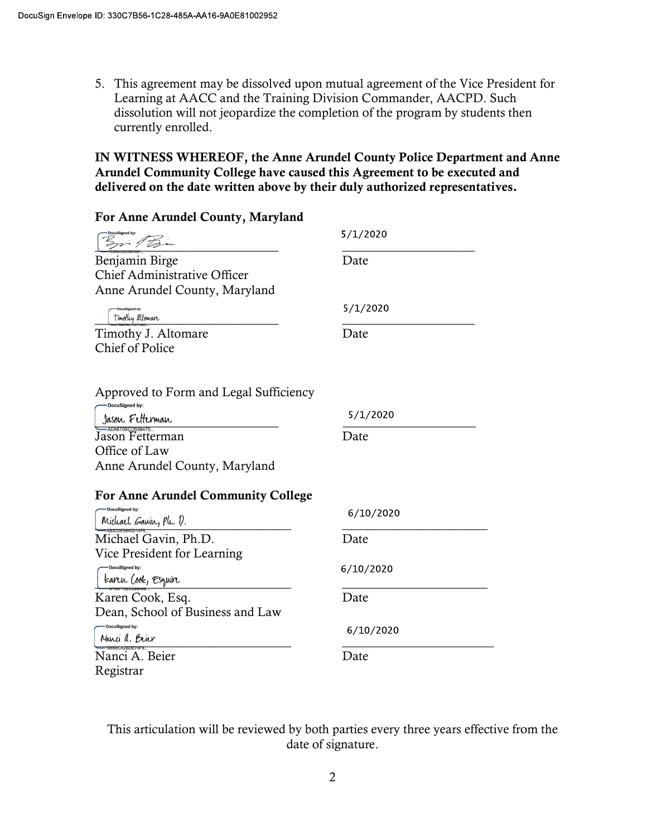5. This agreement may be dissolved upon mutual agreement of the Vice President for Learning at AACC and the Training Division Commander, AACPD. Such dissolution will not jeopardize the completion of the program by students then currently enrolled.

## IN WITNESS WHEREOF, the Anne Arundel County Police Department and Anne Arundel Community College have caused this Agreement to be executed and delivered on the date written above by their duly authorized representatives.

| For Anne Arundel County, Maryland                                                               |           |
|-------------------------------------------------------------------------------------------------|-----------|
| Bri Tan                                                                                         | 5/1/2020  |
| Benjamin Birge<br>Chief Administrative Officer<br>Anne Arundel County, Maryland                 | Date      |
| Timothy Altomare                                                                                | 5/1/2020  |
| Timothy J. Altomare<br><b>Chief of Police</b>                                                   | Date      |
| Approved to Form and Legal Sufficiency<br>OocuSigned by:                                        |           |
| Jason Fetterman                                                                                 | 5/1/2020  |
| <del>Caasooscossears</del><br>Jason Fetterman<br>Office of Law<br>Anne Arundel County, Maryland | Date      |
| <b>For Anne Arundel Community College</b>                                                       |           |
| DocuSigned by:<br>Michael Gavin, Ph. D.                                                         | 6/10/2020 |
| Michael Gavin, Ph.D.<br>Vice President for Learning                                             | Date      |
| DocuSigned by:<br>tanır (ook, Esquin                                                            | 6/10/2020 |
| Karen Cook, Esq.<br>Dean, School of Business and Law                                            | Date      |
| -DocuSigned by:<br>Nanci a. Brier                                                               | 6/10/2020 |
| Nanci A. Beier<br>Registrar                                                                     | Date      |

This articulation will be reviewed by both parties every three years effective from the date of signature.